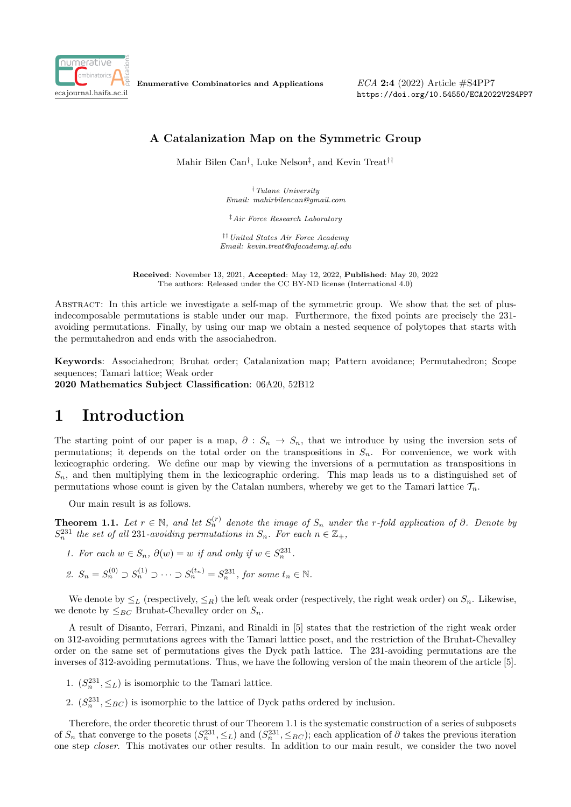

Enumerative Combinatorics and Applications

 $ECA$  2:4 (2022) Article  $\#S4PP7$ https://doi.org/10.54550/ECA2022V2S4PP7

### A Catalanization Map on the Symmetric Group

Mahir Bilen Can† , Luke Nelson‡ , and Kevin Treat††

†Tulane University Email: mahirbilencan@gmail.com

‡Air Force Research Laboratory

††United States Air Force Academy Email: kevin.treat@afacademy.af.edu

Received: November 13, 2021, Accepted: May 12, 2022, Published: May 20, 2022 The authors: Released under the CC BY-ND license (International 4.0)

Abstract: In this article we investigate a self-map of the symmetric group. We show that the set of plusindecomposable permutations is stable under our map. Furthermore, the fixed points are precisely the 231 avoiding permutations. Finally, by using our map we obtain a nested sequence of polytopes that starts with the permutahedron and ends with the associahedron.

Keywords: Associahedron; Bruhat order; Catalanization map; Pattern avoidance; Permutahedron; Scope sequences; Tamari lattice; Weak order 2020 Mathematics Subject Classification: 06A20, 52B12

## 1 Introduction

The starting point of our paper is a map,  $\partial : S_n \to S_n$ , that we introduce by using the inversion sets of permutations; it depends on the total order on the transpositions in  $S_n$ . For convenience, we work with lexicographic ordering. We define our map by viewing the inversions of a permutation as transpositions in  $S_n$ , and then multiplying them in the lexicographic ordering. This map leads us to a distinguished set of permutations whose count is given by the Catalan numbers, whereby we get to the Tamari lattice  $\mathcal{T}_n$ .

Our main result is as follows.

**Theorem 1.1.** Let  $r \in \mathbb{N}$ , and let  $S_n^{(r)}$  denote the image of  $S_n$  under the r-fold application of  $\partial$ . Denote by  $S_n^{231}$  the set of all 231-avoiding permutations in  $S_n$ . For each  $n \in \mathbb{Z}_+$ ,

- 1. For each  $w \in S_n$ ,  $\partial(w) = w$  if and only if  $w \in S_n^{231}$ .
- 2.  $S_n = S_n^{(0)} \supset S_n^{(1)} \supset \cdots \supset S_n^{(t_n)} = S_n^{231}$ , for some  $t_n \in \mathbb{N}$ .

We denote by  $\leq_L$  (respectively,  $\leq_R$ ) the left weak order (respectively, the right weak order) on  $S_n$ . Likewise, we denote by  $\leq_{BC}$  Bruhat-Chevalley order on  $S_n$ .

A result of Disanto, Ferrari, Pinzani, and Rinaldi in [5] states that the restriction of the right weak order on 312-avoiding permutations agrees with the Tamari lattice poset, and the restriction of the Bruhat-Chevalley order on the same set of permutations gives the Dyck path lattice. The 231-avoiding permutations are the inverses of 312-avoiding permutations. Thus, we have the following version of the main theorem of the article [5].

- 1.  $(S_n^{231}, \leq_L)$  is isomorphic to the Tamari lattice.
- 2.  $(S_n^{231}, \leq_{BC})$  is isomorphic to the lattice of Dyck paths ordered by inclusion.

Therefore, the order theoretic thrust of our Theorem 1.1 is the systematic construction of a series of subposets of  $S_n$  that converge to the posets  $(S_n^{231}, \leq_L)$  and  $(S_n^{231}, \leq_{BC})$ ; each application of  $\partial$  takes the previous iteration one step closer. This motivates our other results. In addition to our main result, we consider the two novel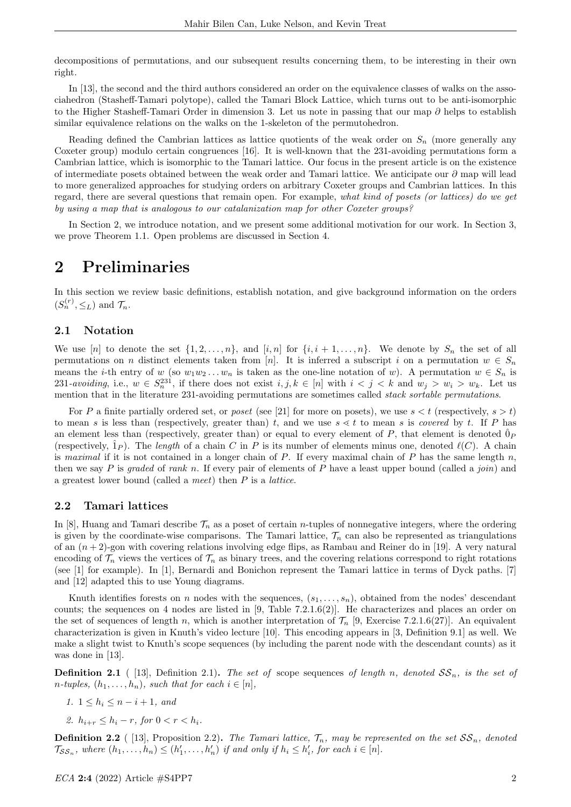decompositions of permutations, and our subsequent results concerning them, to be interesting in their own right.

In [13], the second and the third authors considered an order on the equivalence classes of walks on the associahedron (Stasheff-Tamari polytope), called the Tamari Block Lattice, which turns out to be anti-isomorphic to the Higher Stasheff-Tamari Order in dimension 3. Let us note in passing that our map ∂ helps to establish similar equivalence relations on the walks on the 1-skeleton of the permutohedron.

Reading defined the Cambrian lattices as lattice quotients of the weak order on  $S_n$  (more generally any Coxeter group) modulo certain congruences [16]. It is well-known that the 231-avoiding permutations form a Cambrian lattice, which is isomorphic to the Tamari lattice. Our focus in the present article is on the existence of intermediate posets obtained between the weak order and Tamari lattice. We anticipate our  $\partial$  map will lead to more generalized approaches for studying orders on arbitrary Coxeter groups and Cambrian lattices. In this regard, there are several questions that remain open. For example, what kind of posets (or lattices) do we get by using a map that is analogous to our catalanization map for other Coxeter groups?

In Section 2, we introduce notation, and we present some additional motivation for our work. In Section 3, we prove Theorem 1.1. Open problems are discussed in Section 4.

### 2 Preliminaries

In this section we review basic definitions, establish notation, and give background information on the orders  $(S_n^{(r)}, \leq_L)$  and  $\mathcal{T}_n$ .

### 2.1 Notation

We use [n] to denote the set  $\{1, 2, \ldots, n\}$ , and [i, n] for  $\{i, i + 1, \ldots, n\}$ . We denote by  $S_n$  the set of all permutations on n distinct elements taken from [n]. It is inferred a subscript i on a permutation  $w \in S_n$ means the *i*-th entry of w (so  $w_1w_2...w_n$  is taken as the one-line notation of w). A permutation  $w \in S_n$  is 231-avoiding, i.e.,  $w \in S_n^{231}$ , if there does not exist  $i, j, k \in [n]$  with  $i < j < k$  and  $w_j > w_i > w_k$ . Let us mention that in the literature 231-avoiding permutations are sometimes called *stack sortable permutations*.

For P a finite partially ordered set, or poset (see [21] for more on posets), we use  $s < t$  (respectively,  $s > t$ ) to mean s is less than (respectively, greater than) t, and we use  $s \leq t$  to mean s is covered by t. If P has an element less than (respectively, greater than) or equal to every element of P, that element is denoted  $\hat{0}_P$ (respectively,  $\hat{1}_P$ ). The length of a chain C in P is its number of elements minus one, denoted  $\ell(C)$ . A chain is maximal if it is not contained in a longer chain of P. If every maximal chain of P has the same length  $n$ , then we say P is graded of rank n. If every pair of elements of P have a least upper bound (called a join) and a greatest lower bound (called a meet) then  $P$  is a *lattice*.

#### 2.2 Tamari lattices

In [8], Huang and Tamari describe  $\mathcal{T}_n$  as a poset of certain *n*-tuples of nonnegative integers, where the ordering is given by the coordinate-wise comparisons. The Tamari lattice,  $\mathcal{T}_n$  can also be represented as triangulations of an  $(n+2)$ -gon with covering relations involving edge flips, as Rambau and Reiner do in [19]. A very natural encoding of  $\mathcal{T}_n$  views the vertices of  $\mathcal{T}_n$  as binary trees, and the covering relations correspond to right rotations (see [1] for example). In [1], Bernardi and Bonichon represent the Tamari lattice in terms of Dyck paths. [7] and [12] adapted this to use Young diagrams.

Knuth identifies forests on n nodes with the sequences,  $(s_1, \ldots, s_n)$ , obtained from the nodes' descendant counts; the sequences on 4 nodes are listed in [9, Table 7.2.1.6(2)]. He characterizes and places an order on the set of sequences of length n, which is another interpretation of  $\mathcal{T}_n$  [9, Exercise 7.2.1.6(27)]. An equivalent characterization is given in Knuth's video lecture [10]. This encoding appears in [3, Definition 9.1] as well. We make a slight twist to Knuth's scope sequences (by including the parent node with the descendant counts) as it was done in [13].

**Definition 2.1** ( [13], Definition 2.1). The set of scope sequences of length n, denoted  $SS_n$ , is the set of n-tuples,  $(h_1, \ldots, h_n)$ , such that for each  $i \in [n]$ ,

- 1.  $1 \leq h_i \leq n i + 1$ , and
- 2.  $h_{i+r} \leq h_i r$ , for  $0 \leq r \leq h_i$ .

**Definition 2.2** ( [13], Proposition 2.2). The Tamari lattice,  $\mathcal{T}_n$ , may be represented on the set  $SS_n$ , denoted  $\mathcal{T}_{SS_n}$ , where  $(h_1, \ldots, h_n) \leq (h'_1, \ldots, h'_n)$  if and only if  $h_i \leq h'_i$ , for each  $i \in [n]$ .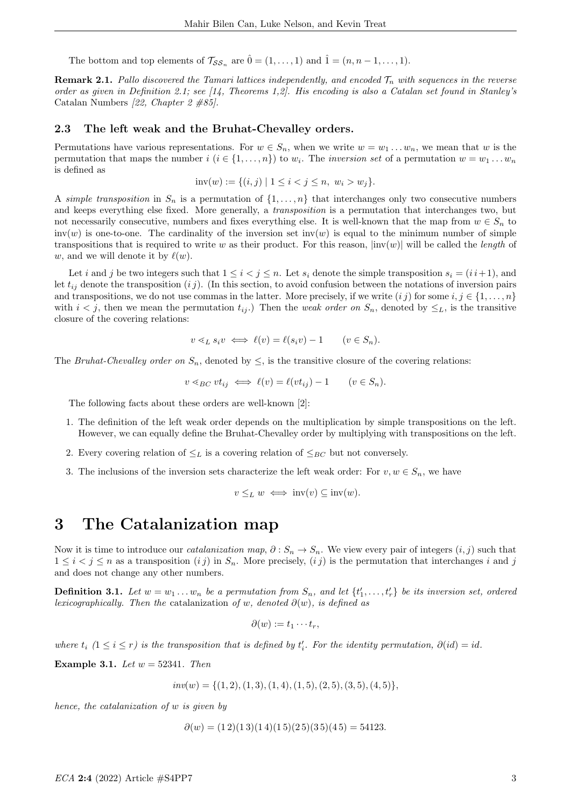The bottom and top elements of  $\mathcal{T}_{SS_n}$  are  $\hat{0} = (1, \ldots, 1)$  and  $\hat{1} = (n, n-1, \ldots, 1)$ .

**Remark 2.1.** Pallo discovered the Tamari lattices independently, and encoded  $\mathcal{T}_n$  with sequences in the reverse order as given in Definition 2.1; see [14, Theorems 1,2]. His encoding is also a Catalan set found in Stanley's Catalan Numbers [22, Chapter 2 #85].

#### 2.3 The left weak and the Bruhat-Chevalley orders.

Permutations have various representations. For  $w \in S_n$ , when we write  $w = w_1 \dots w_n$ , we mean that w is the permutation that maps the number  $i$   $(i \in \{1, ..., n\})$  to  $w_i$ . The *inversion set* of a permutation  $w = w_1 ... w_n$ is defined as

$$
inv(w) := \{(i, j) \mid 1 \le i < j \le n, w_i > w_j\}.
$$

A simple transposition in  $S_n$  is a permutation of  $\{1,\ldots,n\}$  that interchanges only two consecutive numbers and keeps everything else fixed. More generally, a transposition is a permutation that interchanges two, but not necessarily consecutive, numbers and fixes everything else. It is well-known that the map from  $w \in S_n$  to  $inv(w)$  is one-to-one. The cardinality of the inversion set  $inv(w)$  is equal to the minimum number of simple transpositions that is required to write w as their product. For this reason,  $|inv(w)|$  will be called the *length* of w, and we will denote it by  $\ell(w)$ .

Let i and j be two integers such that  $1 \leq i < j \leq n$ . Let  $s_i$  denote the simple transposition  $s_i = (i + 1)$ , and let  $t_{ij}$  denote the transposition  $(i j)$ . (In this section, to avoid confusion between the notations of inversion pairs and transpositions, we do not use commas in the latter. More precisely, if we write  $(i j)$  for some  $i, j \in \{1, ..., n\}$ with  $i < j$ , then we mean the permutation  $t_{ij}$ .) Then the *weak order on*  $S_n$ , denoted by  $\leq_L$ , is the transitive closure of the covering relations:

$$
v \leq_L s_i v \iff \ell(v) = \ell(s_i v) - 1 \qquad (v \in S_n).
$$

The Bruhat-Chevalley order on  $S_n$ , denoted by  $\leq$ , is the transitive closure of the covering relations:

$$
v \leq_{BC} vt_{ij} \iff \ell(v) = \ell(v t_{ij}) - 1 \qquad (v \in S_n).
$$

The following facts about these orders are well-known [2]:

- 1. The definition of the left weak order depends on the multiplication by simple transpositions on the left. However, we can equally define the Bruhat-Chevalley order by multiplying with transpositions on the left.
- 2. Every covering relation of  $\leq_L$  is a covering relation of  $\leq_{BC}$  but not conversely.
- 3. The inclusions of the inversion sets characterize the left weak order: For  $v, w \in S_n$ , we have

$$
v \leq_L w \iff inv(v) \subseteq inv(w).
$$

### 3 The Catalanization map

Now it is time to introduce our *catalanization map*,  $\partial : S_n \to S_n$ . We view every pair of integers  $(i, j)$  such that  $1 \leq i \leq j \leq n$  as a transposition  $(i j)$  in  $S_n$ . More precisely,  $(i j)$  is the permutation that interchanges i and j and does not change any other numbers.

**Definition 3.1.** Let  $w = w_1 \ldots w_n$  be a permutation from  $S_n$ , and let  $\{t'_1, \ldots, t'_r\}$  be its inversion set, ordered lexicographically. Then the catalanization of w, denoted  $\partial(w)$ , is defined as

$$
\partial(w) := t_1 \cdots t_r,
$$

where  $t_i$   $(1 \leq i \leq r)$  is the transposition that is defined by  $t'_i$ . For the identity permutation,  $\partial(id) = id$ .

Example 3.1. Let  $w = 52341$ . Then

 $inv(w) = \{(1, 2), (1, 3), (1, 4), (1, 5), (2, 5), (3, 5), (4, 5)\},\$ 

hence, the catalanization of w is given by

$$
\partial(w) = (1\,2)(1\,3)(1\,4)(1\,5)(2\,5)(3\,5)(4\,5) = 54123.
$$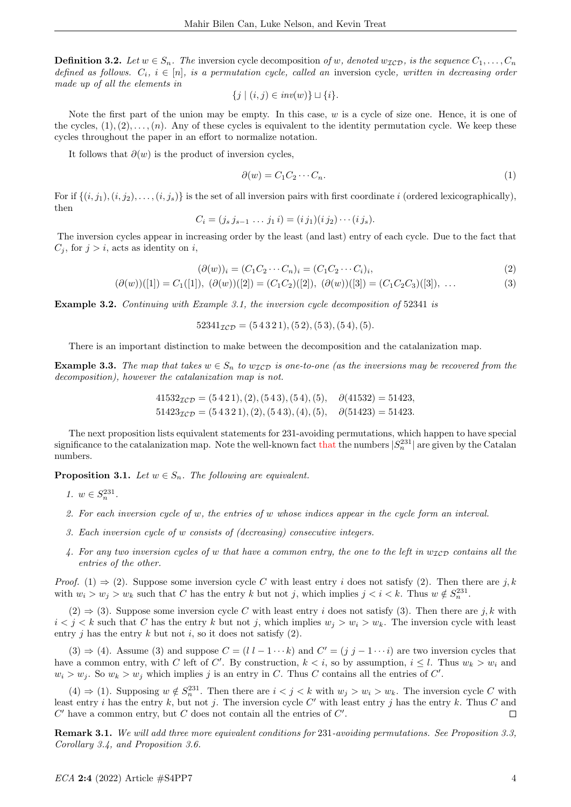**Definition 3.2.** Let  $w \in S_n$ . The inversion cycle decomposition of w, denoted  $w_{\mathcal{ICD}}$ , is the sequence  $C_1, \ldots, C_n$ defined as follows.  $C_i$ ,  $i \in [n]$ , is a permutation cycle, called an inversion cycle, written in decreasing order made up of all the elements in

$$
\{j \mid (i,j) \in inv(w)\} \sqcup \{i\}.
$$

Note the first part of the union may be empty. In this case, w is a cycle of size one. Hence, it is one of the cycles,  $(1), (2), \ldots, (n)$ . Any of these cycles is equivalent to the identity permutation cycle. We keep these cycles throughout the paper in an effort to normalize notation.

It follows that  $\partial(w)$  is the product of inversion cycles,

$$
\partial(w) = C_1 C_2 \cdots C_n. \tag{1}
$$

For if  $\{(i, j_1), (i, j_2), \ldots, (i, j_s)\}\$ is the set of all inversion pairs with first coordinate i (ordered lexicographically), then

$$
C_i = (j_s j_{s-1} \ldots j_1 i) = (i j_1)(i j_2) \cdots (i j_s).
$$

The inversion cycles appear in increasing order by the least (and last) entry of each cycle. Due to the fact that  $C_i$ , for  $j > i$ , acts as identity on i,

$$
(\partial(w))_i = (C_1C_2 \cdots C_n)_i = (C_1C_2 \cdots C_i)_i,
$$
  
\n
$$
(\partial(w))([1]) = C_1([1]), \ (\partial(w))([2]) = (C_1C_2)([2]), \ (\partial(w))([3]) = (C_1C_2C_3)([3]), \ \dots
$$
\n(3)

Example 3.2. Continuing with Example 3.1, the inversion cycle decomposition of 52341 is

 $52341_{\mathcal{I}\mathcal{C}\mathcal{D}} = (54321), (52), (53), (54), (5).$ 

There is an important distinction to make between the decomposition and the catalanization map.

**Example 3.3.** The map that takes  $w \in S_n$  to  $w_{\mathcal{ICD}}$  is one-to-one (as the inversions may be recovered from the decomposition), however the catalanization map is not.

$$
41532TCD = (5421), (2), (543), (54), (5), \quad \partial(41532) = 51423,
$$
  

$$
51423TCD = (54321), (2), (543), (4), (5), \quad \partial(51423) = 51423.
$$

The next proposition lists equivalent statements for 231-avoiding permutations, which happen to have special significance to the catalanization map. Note the well-known fact that the numbers  $|S_n^{231}|$  are given by the Catalan numbers.

**Proposition 3.1.** Let  $w \in S_n$ . The following are equivalent.

- 1.  $w \in S_n^{231}$ .
- 2. For each inversion cycle of w, the entries of w whose indices appear in the cycle form an interval.
- 3. Each inversion cycle of w consists of (decreasing) consecutive integers.
- 4. For any two inversion cycles of w that have a common entry, the one to the left in  $w_{\mathcal{ICD}}$  contains all the entries of the other.

*Proof.* (1)  $\Rightarrow$  (2). Suppose some inversion cycle C with least entry i does not satisfy (2). Then there are j, k with  $w_i > w_j > w_k$  such that C has the entry k but not j, which implies  $j < i < k$ . Thus  $w \notin S_n^{231}$ .

 $(2) \Rightarrow (3)$ . Suppose some inversion cycle C with least entry i does not satisfy (3). Then there are j, k with  $i < j < k$  such that C has the entry k but not j, which implies  $w_j > w_i > w_k$ . The inversion cycle with least entry j has the entry  $k$  but not  $i$ , so it does not satisfy  $(2)$ .

 $(3) \Rightarrow (4)$ . Assume (3) and suppose  $C = (l l - 1 \cdots k)$  and  $C' = (j j - 1 \cdots i)$  are two inversion cycles that have a common entry, with C left of C'. By construction,  $k < i$ , so by assumption,  $i \leq l$ . Thus  $w_k > w_i$  and  $w_i > w_j$ . So  $w_k > w_j$  which implies j is an entry in C. Thus C contains all the entries of C'.

 $(4) \Rightarrow (1)$ . Supposing  $w \notin S_n^{231}$ . Then there are  $i < j < k$  with  $w_j > w_i > w_k$ . The inversion cycle C with least entry i has the entry k, but not j. The inversion cycle C' with least entry j has the entry k. Thus C and  $C'$  have a common entry, but  $C$  does not contain all the entries of  $C'$ .  $\Box$ 

Remark 3.1. We will add three more equivalent conditions for 231-avoiding permutations. See Proposition 3.3, Corollary 3.4, and Proposition 3.6.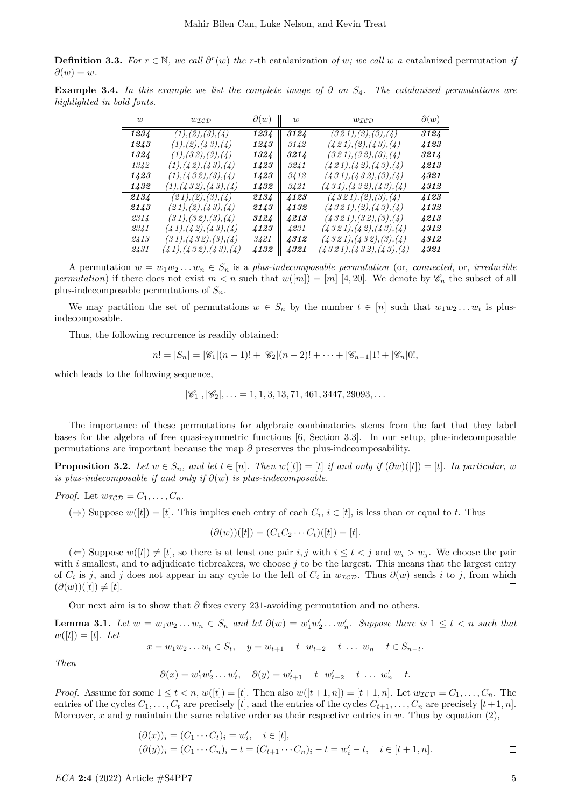**Definition 3.3.** For  $r \in \mathbb{N}$ , we call  $\partial^r(w)$  the r-th catalanization of w; we call w a catalanized permutation is  $\partial(w) = w$ .

Example 3.4. In this example we list the complete image of  $\partial$  on  $S_4$ . The catalanized permutations are highlighted in bold fonts.

| $\overline{u}$ | $w_{\mathcal{ICD}}$      | $\partial(w)$ | $\overline{w}$ | $w_{\mathcal{ICD}}$      | $\partial(w)$ |
|----------------|--------------------------|---------------|----------------|--------------------------|---------------|
| 1234           | (1), (2), (3), (4)       | 1234          | 3124           | (321), (2), (3), (4)     | 3124          |
| 1243           | (1), (2), (4, 3), (4)    | 1243          | 3142           | (421), (2), (43), (4)    | 4123          |
| 1324           | (1), (32), (3), (4)      | 1324          | 3214           | (321), (32), (3), (4)    | 3214          |
| 1342           | (1), (4, 2), (4, 3), (4) | 1423          | 3241           | (421), (42), (43), (4)   | 4213          |
| 1423           | (1), (432), (3), (4)     | 1423          | 3412           | (431), (432), (3), (4)   | 4321          |
| 1432           | (1), (432), (43), (4)    | 1432          | 3421           | (431), (432), (43), (4)  | 4312          |
| 2134           | (21), (2), (3), (4)      | 2134          | 4123           | (4321), (2), (3), (4)    | 4123          |
| 2143           | (21), (2), (43), (4)     | 2143          | 4132           | (4321), (2), (43), (4)   | 4132          |
| 2314           | (31), (32), (3), (4)     | 3124          | 4213           | (4321), (32), (3), (4)   | 4213          |
| 2341           | (41), (42), (43), (4)    | 4123          | 4231           | (4321), (42), (43), (4)  | 4312          |
| 2413           | (31), (432), (3), (4)    | 3421          | 4312           | (4321), (432), (3), (4)  | 4312          |
| 2431           | (41), (432), (43), (4)   | 4132          | 4321           | (4321), (432), (43), (4) | 4321          |

A permutation  $w = w_1w_2...w_n \in S_n$  is a plus-indecomposable permutation (or, connected, or, irreducible permutation) if there does not exist  $m < n$  such that  $w([m]) = [m] [4, 20]$ . We denote by  $\mathscr{C}_n$  the subset of all plus-indecomposable permutations of  $S_n$ .

We may partition the set of permutations  $w \in S_n$  by the number  $t \in [n]$  such that  $w_1w_2 \ldots w_t$  is plusindecomposable.

Thus, the following recurrence is readily obtained:

$$
n! = |S_n| = |\mathscr{C}_1|(n-1)! + |\mathscr{C}_2|(n-2)! + \cdots + |\mathscr{C}_{n-1}|1! + |\mathscr{C}_n|0!,
$$

which leads to the following sequence,

 $|\mathscr{C}_1|, |\mathscr{C}_2|, \ldots = 1, 1, 3, 13, 71, 461, 3447, 29093, \ldots$ 

The importance of these permutations for algebraic combinatorics stems from the fact that they label bases for the algebra of free quasi-symmetric functions [6, Section 3.3]. In our setup, plus-indecomposable permutations are important because the map  $\partial$  preserves the plus-indecomposability.

**Proposition 3.2.** Let  $w \in S_n$ , and let  $t \in [n]$ . Then  $w([t]) = [t]$  if and only if  $(\partial w)([t]) = [t]$ . In particular, w is plus-indecomposable if and only if  $\partial(w)$  is plus-indecomposable.

*Proof.* Let  $w_{\mathcal{ICD}} = C_1, \ldots, C_n$ .

 $(\Rightarrow)$  Suppose  $w([t]) = [t]$ . This implies each entry of each  $C_i$ ,  $i \in [t]$ , is less than or equal to t. Thus

 $(\partial(w))([t]) = (C_1C_2 \cdots C_t)([t]) = [t].$ 

(←) Suppose  $w([t]) \neq [t]$ , so there is at least one pair i, j with  $i \le t < j$  and  $w_i > w_j$ . We choose the pair with  $i$  smallest, and to adjudicate tiebreakers, we choose  $j$  to be the largest. This means that the largest entry of  $C_i$  is j, and j does not appear in any cycle to the left of  $C_i$  in  $w_{\mathcal{ICD}}$ . Thus  $\partial(w)$  sends i to j, from which  $(\partial(w))([t]) \neq [t].$  $\Box$ 

Our next aim is to show that  $\partial$  fixes every 231-avoiding permutation and no others.

**Lemma 3.1.** Let  $w = w_1w_2...w_n \in S_n$  and let  $\partial(w) = w'_1w'_2...w'_n$ . Suppose there is  $1 \le t < n$  such that  $w([t]) = [t]$ . Let

$$
x = w_1 w_2 \dots w_t \in S_t, \quad y = w_{t+1} - t \quad w_{t+2} - t \quad \dots \quad w_n - t \in S_{n-t}.
$$

Then

$$
\partial(x) = w'_1 w'_2 \dots w'_t, \quad \partial(y) = w'_{t+1} - t \quad w'_{t+2} - t \quad \dots \quad w'_n - t.
$$

*Proof.* Assume for some  $1 \leq t < n$ ,  $w([t]) = [t]$ . Then also  $w([t+1, n]) = [t+1, n]$ . Let  $w_{\mathcal{ICD}} = C_1, \ldots, C_n$ . The entries of the cycles  $C_1, \ldots, C_t$  are precisely [t], and the entries of the cycles  $C_{t+1}, \ldots, C_n$  are precisely [t+1, n]. Moreover, x and y maintain the same relative order as their respective entries in  $w$ . Thus by equation (2),

$$
(\partial(x))_i = (C_1 \cdots C_t)_i = w'_i, \quad i \in [t],
$$
  
\n
$$
(\partial(y))_i = (C_1 \cdots C_n)_i - t = (C_{t+1} \cdots C_n)_i - t = w'_i - t, \quad i \in [t+1, n].
$$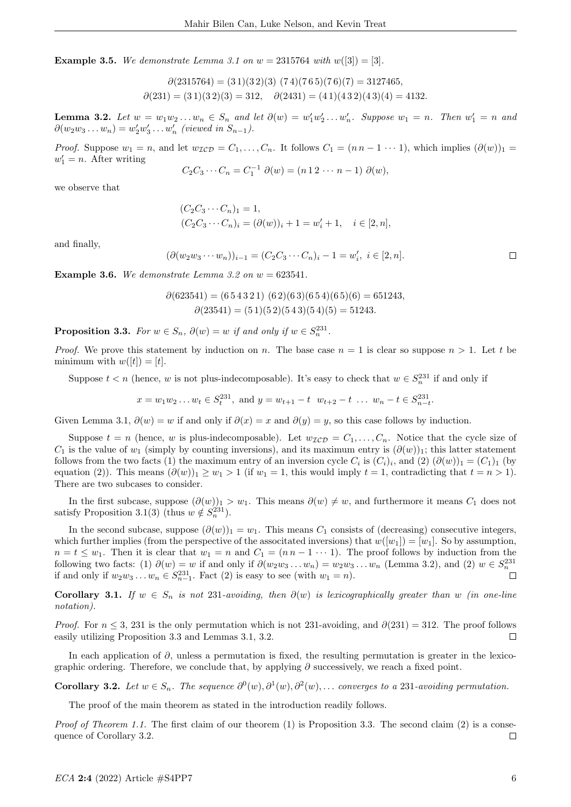**Example 3.5.** We demonstrate Lemma 3.1 on  $w = 2315764$  with  $w([3]) = [3]$ .

 $\partial(2315764) = (31)(32)(3)(74)(765)(76)(7) = 3127465,$  $\partial(231) = (31)(32)(3) = 312, \quad \partial(2431) = (41)(432)(43)(4) = 4132.$ 

**Lemma 3.2.** Let  $w = w_1w_2...w_n \in S_n$  and let  $\partial(w) = w'_1w'_2...w'_n$ . Suppose  $w_1 = n$ . Then  $w'_1 = n$  and  $\partial(w_2w_3 \ldots w_n) = w'_2w'_3 \ldots w'_n$  (viewed in  $S_{n-1}$ ).

*Proof.* Suppose  $w_1 = n$ , and let  $w_{\mathcal{ICD}} = C_1, \ldots, C_n$ . It follows  $C_1 = (n n - 1 \cdots 1)$ , which implies  $(\partial(w))_1 =$  $w'_1 = n$ . After writing

$$
C_2 C_3 \cdots C_n = C_1^{-1} \partial(w) = (n \, 1 \, 2 \cdots n-1) \partial(w),
$$

we observe that

$$
(C_2C_3 \cdots C_n)_1 = 1,
$$
  
\n
$$
(C_2C_3 \cdots C_n)_i = (\partial(w))_i + 1 = w'_i + 1, \quad i \in [2, n],
$$

and finally,

$$
(\partial(w_2w_3\cdots w_n))_{i-1} = (C_2C_3\cdots C_n)_i - 1 = w'_i, \ i \in [2, n].
$$

**Example 3.6.** We demonstrate Lemma 3.2 on  $w = 623541$ .

$$
\partial(623541) = (6\,5\,4\,3\,2\,1) (6\,2)(6\,3)(6\,5\,4)(6\,5)(6) = 651243, \n\partial(23541) = (5\,1)(5\,2)(5\,4\,3)(5\,4)(5) = 51243.
$$

**Proposition 3.3.** For  $w \in S_n$ ,  $\partial(w) = w$  if and only if  $w \in S_n^{231}$ .

*Proof.* We prove this statement by induction on n. The base case  $n = 1$  is clear so suppose  $n > 1$ . Let t be minimum with  $w([t]) = [t]$ .

Suppose  $t < n$  (hence, w is not plus-indecomposable). It's easy to check that  $w \in S_n^{231}$  if and only if

$$
x = w_1 w_2 ... w_t \in S_t^{231}
$$
, and  $y = w_{t+1} - t w_{t+2} - t ... w_n - t \in S_{n-t}^{231}$ .

Given Lemma 3.1,  $\partial(w) = w$  if and only if  $\partial(x) = x$  and  $\partial(y) = y$ , so this case follows by induction.

Suppose  $t = n$  (hence, w is plus-indecomposable). Let  $w_{\mathcal{ICD}} = C_1, \ldots, C_n$ . Notice that the cycle size of  $C_1$  is the value of  $w_1$  (simply by counting inversions), and its maximum entry is  $(\partial(w))_1$ ; this latter statement follows from the two facts (1) the maximum entry of an inversion cycle  $C_i$  is  $(C_i)_i$ , and  $(2)$   $(\partial(w))_1 = (C_1)_1$  (by equation (2)). This means  $(\partial(w))_1 \geq w_1 > 1$  (if  $w_1 = 1$ , this would imply  $t = 1$ , contradicting that  $t = n > 1$ ). There are two subcases to consider.

In the first subcase, suppose  $(\partial(w))_1 > w_1$ . This means  $\partial(w) \neq w$ , and furthermore it means  $C_1$  does not satisfy Proposition 3.1(3) (thus  $w \notin S_n^{231}$ ).

In the second subcase, suppose  $(\partial(w))_1 = w_1$ . This means  $C_1$  consists of (decreasing) consecutive integers, which further implies (from the perspective of the associtated inversions) that  $w([w_1]) = [w_1]$ . So by assumption,  $n = t \leq w_1$ . Then it is clear that  $w_1 = n$  and  $C_1 = (n n - 1 \cdots 1)$ . The proof follows by induction from the following two facts: (1)  $\partial(w) = w$  if and only if  $\partial(w_2w_3 \dots w_n) = w_2w_3 \dots w_n$  (Lemma 3.2), and (2)  $w \in S_n^{231}$ if and only if  $w_2w_3 \dots w_n \in S_{n-1}^{231}$ . Fact (2) is easy to see (with  $w_1 = n$ ).

Corollary 3.1. If  $w \in S_n$  is not 231-avoiding, then  $\partial(w)$  is lexicographically greater than w (in one-line notation).

*Proof.* For  $n \leq 3$ , 231 is the only permutation which is not 231-avoiding, and  $\partial(231) = 312$ . The proof follows easily utilizing Proposition 3.3 and Lemmas 3.1, 3.2.  $\Box$ 

In each application of ∂, unless a permutation is fixed, the resulting permutation is greater in the lexicographic ordering. Therefore, we conclude that, by applying  $\partial$  successively, we reach a fixed point.

**Corollary 3.2.** Let  $w \in S_n$ . The sequence  $\partial^0(w), \partial^1(w), \partial^2(w), \ldots$  converges to a 231-avoiding permutation.

The proof of the main theorem as stated in the introduction readily follows.

*Proof of Theorem 1.1.* The first claim of our theorem (1) is Proposition 3.3. The second claim (2) is a consequence of Corollary 3.2.  $\Box$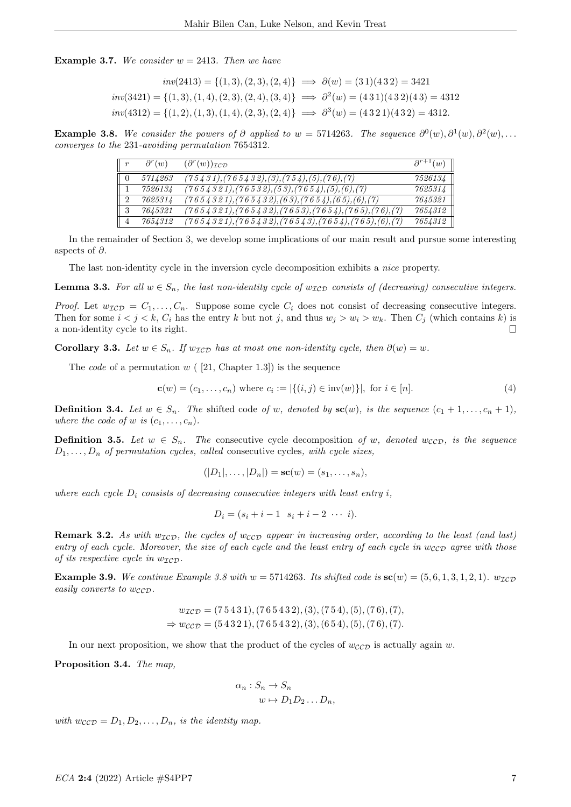**Example 3.7.** We consider  $w = 2413$ . Then we have

$$
inv(2413) = \{(1,3), (2,3), (2,4)\} \implies \partial(w) = (31)(432) = 3421
$$
  
\n
$$
inv(3421) = \{(1,3), (1,4), (2,3), (2,4), (3,4)\} \implies \partial^2(w) = (431)(432)(43) = 4312
$$
  
\n
$$
inv(4312) = \{(1,2), (1,3), (1,4), (2,3), (2,4)\} \implies \partial^3(w) = (4321)(432) = 4312.
$$

**Example 3.8.** We consider the powers of  $\partial$  applied to  $w = 5714263$ . The sequence  $\partial^0(w), \partial^1(w), \partial^2(w), \ldots$ converges to the 231-avoiding permutation 7654312.

| $\parallel$ r  | $\partial^r(w)$ | $(\partial^r(w))_{\mathcal{I}\mathcal{CD}}$              | $\partial^{r+1}(w)$ |
|----------------|-----------------|----------------------------------------------------------|---------------------|
| $\parallel$ 0  | 5714263         | $\overline{(75431),(765432),(3),(754),(5),(76),(7)}$     | 7526134             |
|                | 7526134         | $(7654321), (76532), (53), (7654), (5), (6), (7)$        | 7625314             |
| $\overline{2}$ | 7625314         | $\frac{(7654321),(765432),(63),(7654),(65),(6),(7)}{1}$  | 7645321             |
| $\perp 3$      | 7645321         | $(7654321), (765432), (7653), (7654), (765), (76), (76)$ | 7654312             |
| 4              | 7654312         | $(7654321), (765432), (76543), (7654), (765), (6), (7)$  | 7654312             |

In the remainder of Section 3, we develop some implications of our main result and pursue some interesting aspects of  $\partial$ .

The last non-identity cycle in the inversion cycle decomposition exhibits a nice property.

**Lemma 3.3.** For all  $w \in S_n$ , the last non-identity cycle of  $w_{\mathcal{ICD}}$  consists of (decreasing) consecutive integers.

*Proof.* Let  $w_{\mathcal{ICD}} = C_1, \ldots, C_n$ . Suppose some cycle  $C_i$  does not consist of decreasing consecutive integers. Then for some  $i < j < k$ ,  $C_i$  has the entry k but not j, and thus  $w_j > w_i > w_k$ . Then  $C_j$  (which contains k) is a non-identity cycle to its right.  $\Box$ 

Corollary 3.3. Let  $w \in S_n$ . If  $w_{\mathcal{ICD}}$  has at most one non-identity cycle, then  $\partial(w) = w$ .

The *code* of a permutation  $w$  ( [21, Chapter 1.3]) is the sequence

$$
\mathbf{c}(w) = (c_1, \dots, c_n) \text{ where } c_i := |\{(i, j) \in \text{inv}(w)\}|, \text{ for } i \in [n].
$$
 (4)

**Definition 3.4.** Let  $w \in S_n$ . The shifted code of w, denoted by  $\mathbf{sc}(w)$ , is the sequence  $(c_1 + 1, \ldots, c_n + 1)$ , where the code of w is  $(c_1, \ldots, c_n)$ .

**Definition 3.5.** Let  $w \in S_n$ . The consecutive cycle decomposition of w, denoted wccp, is the sequence  $D_1, \ldots, D_n$  of permutation cycles, called consecutive cycles, with cycle sizes,

$$
(|D_1|, \ldots, |D_n|) = \mathbf{sc}(w) = (s_1, \ldots, s_n),
$$

where each cycle  $D_i$  consists of decreasing consecutive integers with least entry i,

$$
D_i = (s_i + i - 1 \ s_i + i - 2 \ \cdots \ i).
$$

**Remark 3.2.** As with  $w_{\mathcal{ICD}}$ , the cycles of  $w_{CCD}$  appear in increasing order, according to the least (and last) entry of each cycle. Moreover, the size of each cycle and the least entry of each cycle in  $w_{CCD}$  agree with those of its respective cycle in  $w_{\mathcal{ICD}}$ .

**Example 3.9.** We continue Example 3.8 with  $w = 5714263$ . Its shifted code is  $\mathbf{sc}(w) = (5, 6, 1, 3, 1, 2, 1)$ .  $w_{\mathcal{I}\mathcal{L}\mathcal{D}}$ easily converts to  $w_{\mathcal{CCD}}$ .

$$
w_{\mathcal{ICD}} = (75431), (765432), (3), (754), (5), (76), (7),
$$
  
\n
$$
\Rightarrow w_{\mathcal{CCD}} = (54321), (765432), (3), (654), (5), (76), (7).
$$

In our next proposition, we show that the product of the cycles of  $w_{CCD}$  is actually again w.

Proposition 3.4. The map,

$$
\alpha_n : S_n \to S_n
$$
  

$$
w \mapsto D_1 D_2 \dots D_n,
$$

with  $w_{\mathcal{CCD}} = D_1, D_2, \ldots, D_n$ , is the identity map.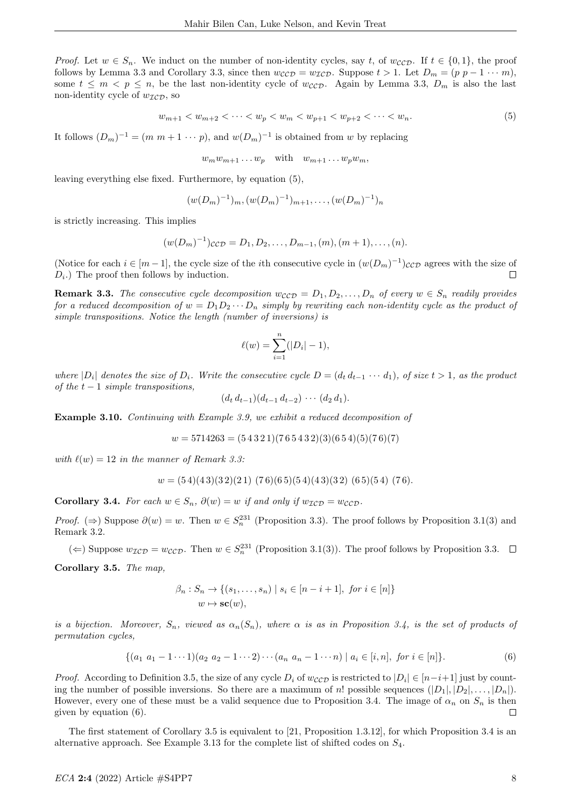*Proof.* Let  $w \in S_n$ . We induct on the number of non-identity cycles, say t, of  $w_{CCD}$ . If  $t \in \{0,1\}$ , the proof follows by Lemma 3.3 and Corollary 3.3, since then  $w_{CCD} = w_{TCD}$ . Suppose  $t > 1$ . Let  $D_m = (p \ p - 1 \cdots m)$ , some  $t \leq m < p \leq n$ , be the last non-identity cycle of  $w_{CCD}$ . Again by Lemma 3.3,  $D_m$  is also the last non-identity cycle of  $w_{\mathcal{ICD}}$ , so

$$
w_{m+1} < w_{m+2} < \dots < w_p < w_m < w_{p+1} < w_{p+2} < \dots < w_n. \tag{5}
$$

It follows  $(D_m)^{-1} = (m \; m + 1 \; \cdots \; p)$ , and  $w(D_m)^{-1}$  is obtained from w by replacing

$$
w_m w_{m+1} \dots w_p \quad \text{with} \quad w_{m+1} \dots w_p w_m,
$$

leaving everything else fixed. Furthermore, by equation (5),

$$
(w(D_m)^{-1})_m, (w(D_m)^{-1})_{m+1}, \ldots, (w(D_m)^{-1})_n
$$

is strictly increasing. This implies

$$
(w(D_m)^{-1})_{\mathcal{CCD}} = D_1, D_2, \dots, D_{m-1}, (m), (m+1), \dots, (n).
$$

(Notice for each  $i \in [m-1]$ , the cycle size of the *i*th consecutive cycle in  $(w(D_m)^{-1})_{\mathcal{CCD}}$  agrees with the size of  $D_i$ .) The proof then follows by induction. П

**Remark 3.3.** The consecutive cycle decomposition  $w_{CCD} = D_1, D_2, \ldots, D_n$  of every  $w \in S_n$  readily provides for a reduced decomposition of  $w = D_1 D_2 \cdots D_n$  simply by rewriting each non-identity cycle as the product of simple transpositions. Notice the length (number of inversions) is

$$
\ell(w) = \sum_{i=1}^{n} (|D_i| - 1),
$$

where  $|D_i|$  denotes the size of  $D_i$ . Write the consecutive cycle  $D = (d_t d_{t-1} \cdots d_1)$ , of size  $t > 1$ , as the product of the  $t-1$  simple transpositions,

$$
(d_t d_{t-1})(d_{t-1} d_{t-2}) \cdots (d_2 d_1).
$$

Example 3.10. Continuing with Example 3.9, we exhibit a reduced decomposition of

$$
w = 5714263 = (5\ 4\ 3\ 2\ 1)(7\ 6\ 5\ 4\ 3\ 2)(3)(6\ 5\ 4)(5)(7\ 6)(7)
$$

with  $\ell(w) = 12$  in the manner of Remark 3.3:

$$
w = (54)(43)(32)(21) (76)(65)(54)(43)(32) (65)(54) (76).
$$

Corollary 3.4. For each  $w \in S_n$ ,  $\partial(w) = w$  if and only if  $w_{\mathcal{ICD}} = w_{\mathcal{CCD}}$ .

*Proof.* ( $\Rightarrow$ ) Suppose  $\partial(w) = w$ . Then  $w \in S_n^{231}$  (Proposition 3.3). The proof follows by Proposition 3.1(3) and Remark 3.2.

(←) Suppose  $w_{\mathcal{ICD}} = w_{\mathcal{CCD}}$ . Then  $w \in S_n^{231}$  (Proposition 3.1(3)). The proof follows by Proposition 3.3.

Corollary 3.5. The map,

$$
\beta_n : S_n \to \{ (s_1, \dots, s_n) \mid s_i \in [n-i+1], \text{ for } i \in [n] \}
$$
  

$$
w \mapsto \mathbf{sc}(w),
$$

is a bijection. Moreover,  $S_n$ , viewed as  $\alpha_n(S_n)$ , where  $\alpha$  is as in Proposition 3.4, is the set of products of permutation cycles,

$$
\{(a_1 \ a_1 - 1 \cdots 1)(a_2 \ a_2 - 1 \cdots 2) \cdots (a_n \ a_n - 1 \cdots n) \mid a_i \in [i, n], \text{ for } i \in [n]\}.
$$
 (6)

*Proof.* According to Definition 3.5, the size of any cycle  $D_i$  of  $w_{CCD}$  is restricted to  $|D_i| \in [n-i+1]$  just by counting the number of possible inversions. So there are a maximum of n! possible sequences  $(|D_1|, |D_2|, \ldots, |D_n|)$ . However, every one of these must be a valid sequence due to Proposition 3.4. The image of  $\alpha_n$  on  $S_n$  is then given by equation (6).  $\Box$ 

The first statement of Corollary 3.5 is equivalent to [21, Proposition 1.3.12], for which Proposition 3.4 is an alternative approach. See Example 3.13 for the complete list of shifted codes on S4.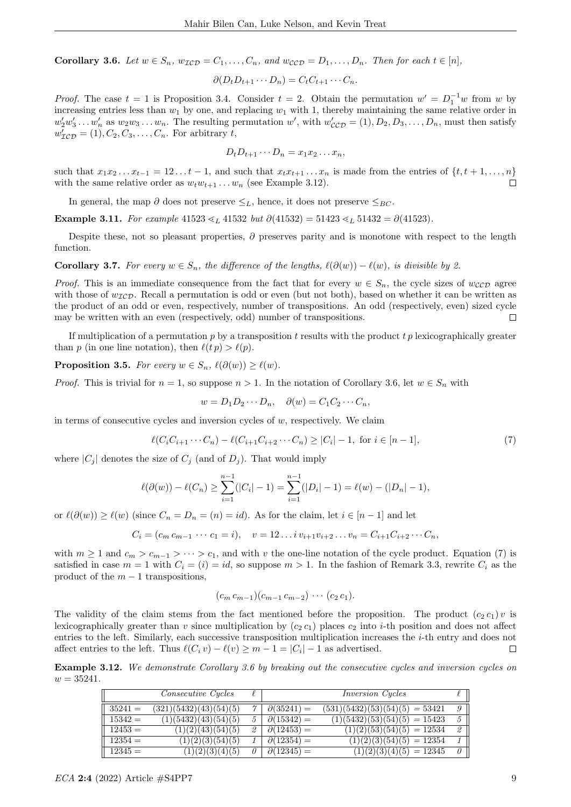Corollary 3.6. Let  $w \in S_n$ ,  $w_{\mathcal{ICD}} = C_1, \ldots, C_n$ , and  $w_{\mathcal{CCD}} = D_1, \ldots, D_n$ . Then for each  $t \in [n]$ ,

$$
\partial(D_t D_{t+1} \cdots D_n) = C_t C_{t+1} \cdots C_n.
$$

*Proof.* The case  $t = 1$  is Proposition 3.4. Consider  $t = 2$ . Obtain the permutation  $w' = D_1^{-1}w$  from w by increasing entries less than  $w_1$  by one, and replacing  $w_1$  with 1, thereby maintaining the same relative order in  $w'_2w'_3 \ldots w'_n$  as  $w_2w_3 \ldots w_n$ . The resulting permutation w', with  $w'_{\mathcal{CCD}} = (1), D_2, D_3, \ldots, D_n$ , must then satisfy  $w'_{\mathcal{ICD}} = (1), C_2, C_3, \ldots, C_n$ . For arbitrary t,

$$
D_t D_{t+1} \cdots D_n = x_1 x_2 \ldots x_n,
$$

such that  $x_1x_2 \ldots x_{t-1} = 12 \ldots t-1$ , and such that  $x_tx_{t+1} \ldots x_n$  is made from the entries of  $\{t, t+1, \ldots, n\}$ with the same relative order as  $w_t w_{t+1} \dots w_n$  (see Example 3.12).

In general, the map  $\partial$  does not preserve  $\leq_L$ , hence, it does not preserve  $\leq_{BC}$ .

Example 3.11. For example  $41523 \leq L 41532$  but  $\partial(41532) = 51423 \leq L 51432 = \partial(41523)$ .

Despite these, not so pleasant properties,  $\partial$  preserves parity and is monotone with respect to the length function.

**Corollary 3.7.** For every  $w \in S_n$ , the difference of the lengths,  $\ell(\partial(w)) - \ell(w)$ , is divisible by 2.

*Proof.* This is an immediate consequence from the fact that for every  $w \in S_n$ , the cycle sizes of  $w_{CCD}$  agree with those of  $w_{\mathcal{ICD}}$ . Recall a permutation is odd or even (but not both), based on whether it can be written as the product of an odd or even, respectively, number of transpositions. An odd (respectively, even) sized cycle may be written with an even (respectively, odd) number of transpositions.  $\Box$ 

If multiplication of a permutation  $p$  by a transposition  $t$  results with the product  $tp$  lexicographically greater than p (in one line notation), then  $\ell(t p) > \ell(p)$ .

**Proposition 3.5.** For every  $w \in S_n$ ,  $\ell(\partial(w)) \geq \ell(w)$ .

*Proof.* This is trivial for  $n = 1$ , so suppose  $n > 1$ . In the notation of Corollary 3.6, let  $w \in S_n$  with

$$
w = D_1 D_2 \cdots D_n, \quad \partial(w) = C_1 C_2 \cdots C_n,
$$

in terms of consecutive cycles and inversion cycles of  $w$ , respectively. We claim

$$
\ell(C_i C_{i+1} \cdots C_n) - \ell(C_{i+1} C_{i+2} \cdots C_n) \ge |C_i| - 1, \text{ for } i \in [n-1],
$$
\n(7)

where  $|C_i|$  denotes the size of  $C_i$  (and of  $D_i$ ). That would imply

$$
\ell(\partial(w)) - \ell(C_n) \ge \sum_{i=1}^{n-1} (|C_i| - 1) = \sum_{i=1}^{n-1} (|D_i| - 1) = \ell(w) - (|D_n| - 1),
$$

or  $\ell(\partial(w)) \geq \ell(w)$  (since  $C_n = D_n = (n) = id$ ). As for the claim, let  $i \in [n-1]$  and let

 $C_i = (c_m c_{m-1} \cdots c_1 = i), \quad v = 12 \ldots i \, v_{i+1} v_{i+2} \ldots v_n = C_{i+1} C_{i+2} \cdots C_n,$ 

with  $m \ge 1$  and  $c_m > c_{m-1} > \cdots > c_1$ , and with v the one-line notation of the cycle product. Equation (7) is satisfied in case  $m = 1$  with  $C_i = (i) = id$ , so suppose  $m > 1$ . In the fashion of Remark 3.3, rewrite  $C_i$  as the product of the  $m-1$  transpositions,

$$
(c_m c_{m-1})(c_{m-1} c_{m-2}) \cdots (c_2 c_1).
$$

The validity of the claim stems from the fact mentioned before the proposition. The product  $(c_2 c_1) v$  is lexicographically greater than v since multiplication by  $(c_2 c_1)$  places  $c_2$  into i-th position and does not affect entries to the left. Similarly, each successive transposition multiplication increases the i-th entry and does not affect entries to the left. Thus  $\ell(C_i v) - \ell(v) \ge m - 1 = |C_i| - 1$  as advertised.  $\Box$ 

Example 3.12. We demonstrate Corollary 3.6 by breaking out the consecutive cycles and inversion cycles on  $w = 35241.$ 

|           | <i>Consecutive Cycles</i> | ł. |                     | <i>Inversion Cycles</i>                   | $\ell$ |
|-----------|---------------------------|----|---------------------|-------------------------------------------|--------|
| $35241 =$ | (321)(5432)(43)(54)(5)    |    | $\partial(35241) =$ | $(531)(5432)(53)(54)(5) = 53421$          | 9 I    |
| $15342 =$ | (1)(5432)(43)(54)(5)      |    | $\partial(15342) =$ | $(1)(543\overline{2})(53)(54)(5) = 15423$ | 51     |
| $12453 =$ | (1)(2)(43)(54)(5)         |    | $\partial(12453) =$ | $(1)(2)(53)(54)(5) = 12534$               | 21     |
| $12354 =$ | (1)(2)(3)(54)(5)          |    | $\partial(12354) =$ | $(1)(2)(3)(54)(5) = 12354$                | 11     |
| $12345 =$ | (1)(2)(3)(4)(5)           |    | $\partial(12345) =$ | $(1)(2)(3)(4)(5) = 12345$                 | 0 I    |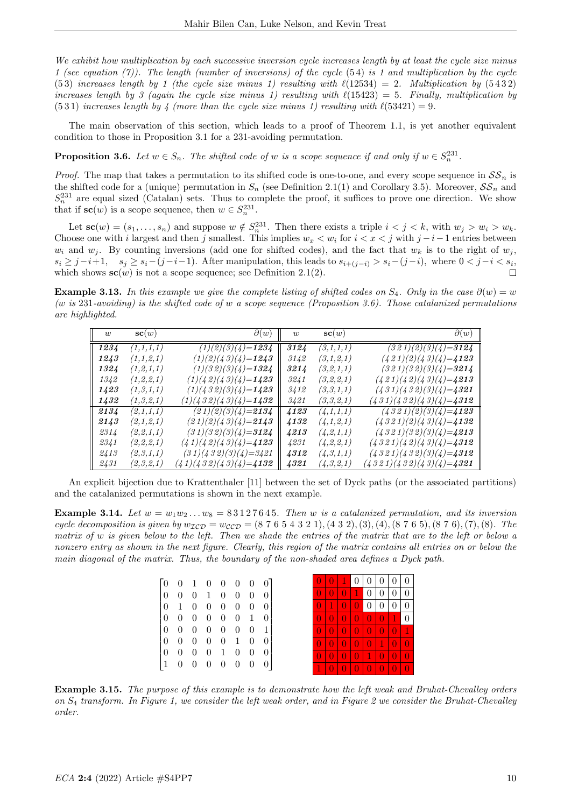We exhibit how multiplication by each successive inversion cycle increases length by at least the cycle size minus 1 (see equation (7)). The length (number of inversions) of the cycle  $(54)$  is 1 and multiplication by the cycle (53) increases length by 1 (the cycle size minus 1) resulting with  $\ell(12534) = 2$ . Multiplication by (5432) increases length by 3 (again the cycle size minus 1) resulting with  $\ell(15423) = 5$ . Finally, multiplication by  $(531)$  increases length by 4 (more than the cycle size minus 1) resulting with  $\ell(53421) = 9$ .

The main observation of this section, which leads to a proof of Theorem 1.1, is yet another equivalent condition to those in Proposition 3.1 for a 231-avoiding permutation.

**Proposition 3.6.** Let  $w \in S_n$ . The shifted code of w is a scope sequence if and only if  $w \in S_n^{231}$ .

*Proof.* The map that takes a permutation to its shifted code is one-to-one, and every scope sequence in  $SS_n$  is the shifted code for a (unique) permutation in  $S_n$  (see Definition 2.1(1) and Corollary 3.5). Moreover,  $S\mathcal{S}_n$  and  $S_n^{231}$  are equal sized (Catalan) sets. Thus to complete the proof, it suffices to prove one direction. We show that if  $\mathbf{sc}(w)$  is a scope sequence, then  $w \in S_n^{231}$ .

Let  $\mathbf{sc}(w) = (s_1, \ldots, s_n)$  and suppose  $w \notin S_n^{231}$ . Then there exists a triple  $i < j < k$ , with  $w_j > w_i > w_k$ . Choose one with i largest and then j smallest. This implies  $w_x < w_i$  for  $i < x < j$  with  $j - i - 1$  entries between  $w_i$  and  $w_j$ . By counting inversions (add one for shifted codes), and the fact that  $w_k$  is to the right of  $w_j$ ,  $s_i \geq j-i+1$ ,  $s_j \geq s_i-(j-i-1)$ . After manipulation, this leads to  $s_{i+(j-i)} > s_i-(j-i)$ , where  $0 < j-i < s_i$ , which shows  $\mathbf{sc}(w)$  is not a scope sequence; see Definition 2.1(2).  $\Box$ 

Example 3.13. In this example we give the complete listing of shifted codes on  $S_4$ . Only in the case  $\partial(w) = w$ (w is 231-avoiding) is the shifted code of w a scope sequence (Proposition 3.6). Those catalanized permutations are highlighted.

| $\overline{u}$ | $\mathbf{sc}(w)$ | $\partial(w)$                   | $\overline{u}$ | $\mathbf{sc}(w)$ | $\partial(w)$                     |
|----------------|------------------|---------------------------------|----------------|------------------|-----------------------------------|
| 1234           | (1,1,1,1)        | $(1)(2)(3)(4)=1234$             | 3124           | (3,1,1,1)        | $(321)(2)(3)(4)=3124$             |
| 1243           | (1,1,2,1)        | $(1)(2)(43)(4)=1243$            | 3142           | (3,1,2,1)        | $(421)(2)(43)(4)=$ <b>4123</b>    |
| 1324           | (1,2,1,1)        | $(1)(32)(3)(4)=1324$            | 3214           | (3,2,1,1)        | $(321)(32)(3)(4)=3214$            |
| 1342           | (1,2,2,1)        | $(1)(42)(43)(4)=1423$           | 3241           | (3,2,2,1)        | $(421)(42)(43)(4)=2213$           |
| 1423           | (1,3,1,1)        | $(1)(432)(3)(4)=1423$           | 3412           | (3,3,1,1)        | $(431)(432)(3)(4)=4321$           |
| 1432           | (1,3,2,1)        | $(1)(432)(43)(4)=1432$          | 3421           | (3,3,2,1)        | $(431)(432)(43)(4)=$ <b>4312</b>  |
| 2134           | (2,1,1,1)        | $(21)(2)(3)(4)=2134$            | 4123           | (4.1.1.1)        | $(4321)(2)(3)(4)=4123$            |
| 2143           | (2,1,2,1)        | $(21)(2)(43)(4)=2143$           | 4132           | (4,1,2,1)        | $(4321)(2)(43)(4)=$ <b>4132</b>   |
| 2314           | (2,2,1,1)        | $(31)(32)(3)(4)=3124$           | 4213           | (4, 2, 1, 1)     | $(4321)(32)(3)(4)=2213$           |
| 2341           | (2,2,2,1)        | $(41)(42)(43)(4)=$ <b>4123</b>  | 4231           | (4, 2, 2, 1)     | $(4321)(42)(43)(4)=$ <b>4312</b>  |
| 2413           | (2,3,1,1)        | $(31)(432)(3)(4)=3421$          | 4312           | (4,3,1,1)        | $(4321)(432)(3)(4)=4312$          |
| 2431           | (2,3,2,1)        | $(41)(432)(43)(4)=$ <b>4132</b> | 4321           | (4,3,2,1)        | $(4321)(432)(43)(4)=$ <b>4321</b> |

An explicit bijection due to Krattenthaler [11] between the set of Dyck paths (or the associated partitions) and the catalanized permutations is shown in the next example.

**Example 3.14.** Let  $w = w_1w_2...w_8 = 83127645$ . Then w is a catalanized permutation, and its inversion cycle decomposition is given by  $w_{\mathcal{ICD}} = w_{\mathcal{CCD}} = (8\ 7\ 6\ 5\ 4\ 3\ 2\ 1), (4\ 3\ 2), (3), (4), (8\ 7\ 6\ 5), (8\ 7\ 6), (7), (8).$  The matrix of w is given below to the left. Then we shade the entries of the matrix that are to the left or below a nonzero entry as shown in the next figure. Clearly, this region of the matrix contains all entries on or below the main diagonal of the matrix. Thus, the boundary of the non-shaded area defines a Dyck path.

| $\begin{bmatrix} 0 & 0 & 1 & 0 & 0 & 0 & 0 & 0 \end{bmatrix}$ |                          |                          |                          |                    |          |
|---------------------------------------------------------------|--------------------------|--------------------------|--------------------------|--------------------|----------|
| $0\quad 0\quad 0$                                             | $1\quad 0\quad 0\quad 0$ |                          |                          |                    | -0       |
| $0 \t1 \t0 \t0 \t0 \t0 \t0 \t0$                               |                          |                          |                          |                    |          |
| $0\quad 0\quad 0\quad 0$                                      |                          | $\overline{\phantom{0}}$ | $\overline{\phantom{0}}$ | - 1                | $\theta$ |
| $0\quad 0\quad 0\quad 0$                                      |                          | $\overline{\phantom{0}}$ | $0\quad 0$               |                    |          |
| $0 \t 0 \t 0 \t 0 \t 1 \t 0$                                  |                          |                          |                          |                    | 0        |
| $0\quad 0\quad 0$                                             | $\overline{0}$           |                          | 1 0 0                    |                    | $\theta$ |
| $\begin{pmatrix} 1 & 0 & 0 \end{pmatrix}$                     | $\overline{\phantom{0}}$ | $\overline{\phantom{0}}$ | $\overline{\phantom{0}}$ | $\hspace{0.1em} 0$ | $\theta$ |

Example 3.15. The purpose of this example is to demonstrate how the left weak and Bruhat-Chevalley orders on S<sup>4</sup> transform. In Figure 1, we consider the left weak order, and in Figure 2 we consider the Bruhat-Chevalley order.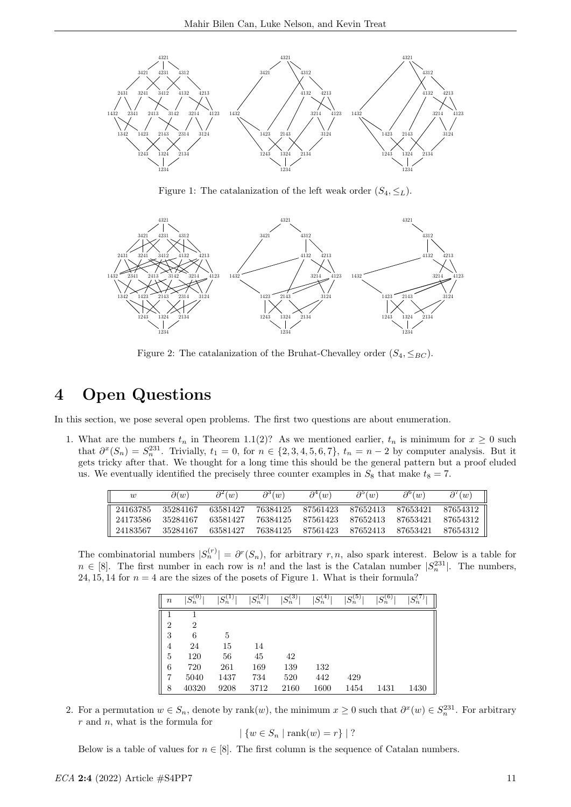

Figure 1: The catalanization of the left weak order  $(S_4, \leq_L)$ .



Figure 2: The catalanization of the Bruhat-Chevalley order  $(S_4, \leq_{BC})$ .

### 4 Open Questions

In this section, we pose several open problems. The first two questions are about enumeration.

1. What are the numbers  $t_n$  in Theorem 1.1(2)? As we mentioned earlier,  $t_n$  is minimum for  $x \geq 0$  such that  $\partial^x(S_n) = S_n^{231}$ . Trivially,  $t_1 = 0$ , for  $n \in \{2, 3, 4, 5, 6, 7\}$ ,  $t_n = n - 2$  by computer analysis. But it gets tricky after that. We thought for a long time this should be the general pattern but a proof eluded us. We eventually identified the precisely three counter examples in  $S_8$  that make  $t_8 = 7$ .

| w        | $\partial(w)$ | $\partial^2(w)$ | $\partial^3(w)$ | $\partial^4(w)$   | $\partial^{\circ}(w)$ | $\partial^{\mathfrak{b}}(w)$ | $\partial'(w)$ |
|----------|---------------|-----------------|-----------------|-------------------|-----------------------|------------------------------|----------------|
| 24163785 | 35284167      | 63581427        | 76384125        | 87561423          | 87652413              | 87653421                     | 87654312       |
| 24173586 | 35284167      | 63581427        |                 | 76384125 87561423 | 87652413              | 87653421                     | 87654312       |
| 24183567 | 35284167      | 63581427        |                 | 76384125 87561423 | 87652413              | 87653421                     | 87654312       |

The combinatorial numbers  $|S_n^{(r)}| = \partial^r(S_n)$ , for arbitrary r, n, also spark interest. Below is a table for  $n \in [8]$ . The first number in each row is n! and the last is the Catalan number  $|S_n^{231}|$ . The numbers, 24, 15, 14 for  $n = 4$  are the sizes of the posets of Figure 1. What is their formula?

| $\it n$        | $S_n^{(0)}$ | $S_n^{(1)}$ | $S_n^{(2)}$ | $S_n^{(3)}$ | $\overline{S_n^{(4)}}$ | $\sqrt{S_n^{(5)}}$ | $\overline{S_n^{(6)}}$ | $\bar{S}^{(7)}_n$ |
|----------------|-------------|-------------|-------------|-------------|------------------------|--------------------|------------------------|-------------------|
|                |             |             |             |             |                        |                    |                        |                   |
| $\overline{2}$ | 2           |             |             |             |                        |                    |                        |                   |
| 3              | 6           | 5           |             |             |                        |                    |                        |                   |
| 4              | 24          | 15          | 14          |             |                        |                    |                        |                   |
| 5              | 120         | 56          | 45          | 42          |                        |                    |                        |                   |
| 6              | 720         | 261         | 169         | 139         | 132                    |                    |                        |                   |
| 7              | 5040        | 1437        | 734         | 520         | 442                    | 429                |                        |                   |
| 8              | 40320       | 9208        | 3712        | 2160        | 1600                   | 1454               | 1431                   | 1430              |

2. For a permutation  $w \in S_n$ , denote by rank $(w)$ , the minimum  $x \geq 0$  such that  $\partial^x(w) \in S_n^{231}$ . For arbitrary  $r$  and  $n$ , what is the formula for

 $\{w \in S_n \mid \text{rank}(w) = r\}$  ?

Below is a table of values for  $n \in [8]$ . The first column is the sequence of Catalan numbers.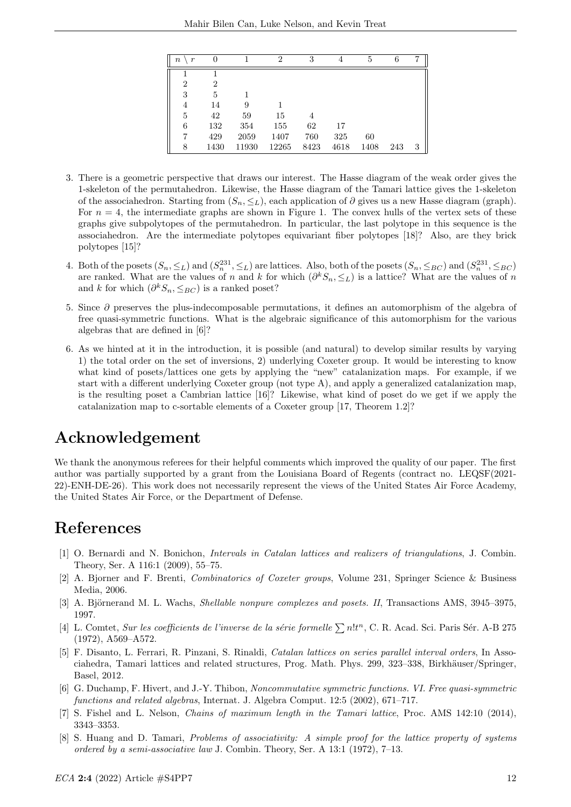| $\it n$<br>$\boldsymbol{r}$ | 0    |       | $\overline{2}$ | 3              | 4    | 5    | 6   |   |
|-----------------------------|------|-------|----------------|----------------|------|------|-----|---|
|                             |      |       |                |                |      |      |     |   |
| $\overline{2}$              | 2    |       |                |                |      |      |     |   |
| 3                           | 5    |       |                |                |      |      |     |   |
| 4                           | 14   | 9     |                |                |      |      |     |   |
| 5                           | 42   | 59    | 15             | $\overline{4}$ |      |      |     |   |
| 6                           | 132  | 354   | 155            | 62             | 17   |      |     |   |
|                             | 429  | 2059  | 1407           | 760            | 325  | 60   |     |   |
| 8                           | 1430 | 11930 | 12265          | 8423           | 4618 | 1408 | 243 | 3 |

- 3. There is a geometric perspective that draws our interest. The Hasse diagram of the weak order gives the 1-skeleton of the permutahedron. Likewise, the Hasse diagram of the Tamari lattice gives the 1-skeleton of the associahedron. Starting from  $(S_n, \leq_L)$ , each application of  $\partial$  gives us a new Hasse diagram (graph). For  $n = 4$ , the intermediate graphs are shown in Figure 1. The convex hulls of the vertex sets of these graphs give subpolytopes of the permutahedron. In particular, the last polytope in this sequence is the associahedron. Are the intermediate polytopes equivariant fiber polytopes [18]? Also, are they brick polytopes [15]?
- 4. Both of the posets  $(S_n, \leq_L)$  and  $(S_n^{231}, \leq_L)$  are lattices. Also, both of the posets  $(S_n, \leq_{BC})$  and  $(S_n^{231}, \leq_{BC})$ are ranked. What are the values of n and k for which  $(\partial^k S_n, \leq_L)$  is a lattice? What are the values of n and k for which  $(\partial^k S_n, \leq_{BC})$  is a ranked poset?
- 5. Since ∂ preserves the plus-indecomposable permutations, it defines an automorphism of the algebra of free quasi-symmetric functions. What is the algebraic significance of this automorphism for the various algebras that are defined in [6]?
- 6. As we hinted at it in the introduction, it is possible (and natural) to develop similar results by varying 1) the total order on the set of inversions, 2) underlying Coxeter group. It would be interesting to know what kind of posets/lattices one gets by applying the "new" catalanization maps. For example, if we start with a different underlying Coxeter group (not type A), and apply a generalized catalanization map, is the resulting poset a Cambrian lattice [16]? Likewise, what kind of poset do we get if we apply the catalanization map to c-sortable elements of a Coxeter group [17, Theorem 1.2]?

## Acknowledgement

We thank the anonymous referees for their helpful comments which improved the quality of our paper. The first author was partially supported by a grant from the Louisiana Board of Regents (contract no. LEQSF(2021- 22)-ENH-DE-26). This work does not necessarily represent the views of the United States Air Force Academy, the United States Air Force, or the Department of Defense.

# References

- [1] O. Bernardi and N. Bonichon, Intervals in Catalan lattices and realizers of triangulations, J. Combin. Theory, Ser. A 116:1 (2009), 55–75.
- [2] A. Bjorner and F. Brenti, Combinatorics of Coxeter groups, Volume 231, Springer Science & Business Media, 2006.
- [3] A. Björnerand M. L. Wachs, *Shellable nonpure complexes and posets. II*, Transactions AMS, 3945–3975. 1997.
- [4] L. Comtet, Sur les coefficients de l'inverse de la série formelle  $\sum n!t^n$ , C. R. Acad. Sci. Paris Sér. A-B 275 (1972), A569–A572.
- [5] F. Disanto, L. Ferrari, R. Pinzani, S. Rinaldi, Catalan lattices on series parallel interval orders, In Associahedra, Tamari lattices and related structures, Prog. Math. Phys. 299, 323–338, Birkhäuser/Springer, Basel, 2012.
- [6] G. Duchamp, F. Hivert, and J.-Y. Thibon, Noncommutative symmetric functions. VI. Free quasi-symmetric functions and related algebras, Internat. J. Algebra Comput. 12:5 (2002), 671–717.
- [7] S. Fishel and L. Nelson, Chains of maximum length in the Tamari lattice, Proc. AMS 142:10 (2014), 3343–3353.
- [8] S. Huang and D. Tamari, Problems of associativity: A simple proof for the lattice property of systems ordered by a semi-associative law J. Combin. Theory, Ser. A 13:1 (1972), 7–13.